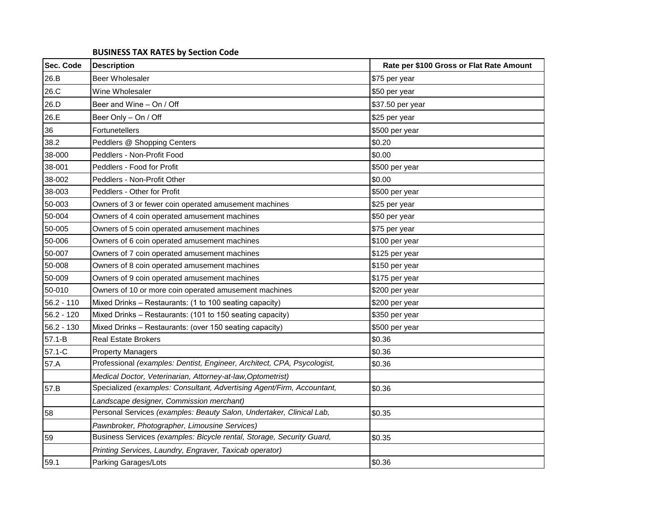## **BUSINESS TAX RATES by Section Code**

| Sec. Code    | <b>Description</b>                                                      | Rate per \$100 Gross or Flat Rate Amount |
|--------------|-------------------------------------------------------------------------|------------------------------------------|
| 26.B         | <b>Beer Wholesaler</b>                                                  | \$75 per year                            |
| 26.C         | Wine Wholesaler                                                         | \$50 per year                            |
| 26.D         | Beer and Wine - On / Off                                                | \$37.50 per year                         |
| 26.E         | Beer Only - On / Off                                                    | \$25 per year                            |
| 36           | Fortunetellers                                                          | \$500 per year                           |
| 38.2         | Peddlers @ Shopping Centers                                             | \$0.20                                   |
| 38-000       | Peddlers - Non-Profit Food                                              | \$0.00                                   |
| 38-001       | Peddlers - Food for Profit                                              | \$500 per year                           |
| 38-002       | Peddlers - Non-Profit Other                                             | \$0.00                                   |
| 38-003       | Peddlers - Other for Profit                                             | \$500 per year                           |
| 50-003       | Owners of 3 or fewer coin operated amusement machines                   | \$25 per year                            |
| 50-004       | Owners of 4 coin operated amusement machines                            | \$50 per year                            |
| 50-005       | Owners of 5 coin operated amusement machines                            | \$75 per year                            |
| 50-006       | Owners of 6 coin operated amusement machines                            | \$100 per year                           |
| 50-007       | Owners of 7 coin operated amusement machines                            | \$125 per year                           |
| 50-008       | Owners of 8 coin operated amusement machines                            | \$150 per year                           |
| 50-009       | Owners of 9 coin operated amusement machines                            | \$175 per year                           |
| 50-010       | Owners of 10 or more coin operated amusement machines                   | \$200 per year                           |
| $56.2 - 110$ | Mixed Drinks - Restaurants: (1 to 100 seating capacity)                 | \$200 per year                           |
| $56.2 - 120$ | Mixed Drinks - Restaurants: (101 to 150 seating capacity)               | \$350 per year                           |
| $56.2 - 130$ | Mixed Drinks - Restaurants: (over 150 seating capacity)                 | \$500 per year                           |
| $57.1 - B$   | Real Estate Brokers                                                     | \$0.36                                   |
| 57.1-C       | <b>Property Managers</b>                                                | \$0.36                                   |
| 57.A         | Professional (examples: Dentist, Engineer, Architect, CPA, Psycologist, | \$0.36                                   |
|              | Medical Doctor, Veterinarian, Attorney-at-law, Optometrist)             |                                          |
| 57.B         | Specialized (examples: Consultant, Advertising Agent/Firm, Accountant,  | \$0.36                                   |
|              | Landscape designer, Commission merchant)                                |                                          |
| 58           | Personal Services (examples: Beauty Salon, Undertaker, Clinical Lab,    | \$0.35                                   |
|              | Pawnbroker, Photographer, Limousine Services)                           |                                          |
| 59           | Business Services (examples: Bicycle rental, Storage, Security Guard,   | \$0.35                                   |
|              | Printing Services, Laundry, Engraver, Taxicab operator)                 |                                          |
| 59.1         | Parking Garages/Lots                                                    | \$0.36                                   |